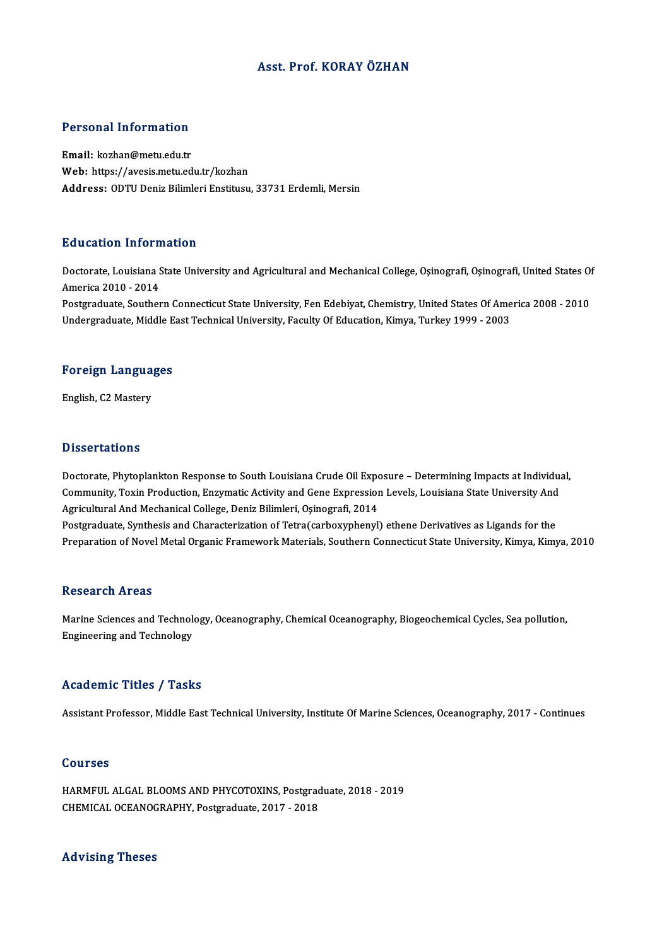## Asst. Prof. KORAY ÖZHAN

### Personal Information

Email: kozhan@metu.edu.tr Web: https://avesis.metu.edu.tr/kozhan Address: ODTU Deniz Bilimleri Enstitusu, 33731 Erdemli, Mersin

### Education Information

**Education Information**<br>Doctorate, Louisiana State University and Agricultural and Mechanical College, Oşinografi, Oşinografi, United States Of America 2010 - 2012<br>Doctorate, Louisiana S<br>America 2010 - 2014<br>Postareduate, Souther Doctorate, Louisiana State University and Agricultural and Mechanical College, Osinografi, Osinografi, United States Of<br>America 2010 - 2014<br>Postgraduate, Southern Connecticut State University, Fen Edebiyat, Chemistry, Unit America 2010 - 2014<br>Postgraduate, Southern Connecticut State University, Fen Edebiyat, Chemistry, United States Of Ame<br>Undergraduate, Middle East Technical University, Faculty Of Education, Kimya, Turkey 1999 - 2003

# <sub>ondergraduate, middle E</sub><br>Foreign Languages F<mark>oreign Langua</mark><br>English, C2 Mastery

English, C2 Mastery<br>Dissertations

Doctorate, Phytoplankton Response to South Louisiana Crude Oil Exposure - Determining Impacts at Individual, Dissol cations<br>Doctorate, Phytoplankton Response to South Louisiana Crude Oil Exposure – Determining Impacts at Individua<br>Community, Toxin Production, Enzymatic Activity and Gene Expression Levels, Louisiana State Universi Agricultural And Mechanical College, Deniz Bilimleri, Oşinografi, 2014<br>Postgraduate, Synthesis and Characterization of Tetra(carboxyphenyl) ethene Derivatives as Ligands for the Community, Toxin Production, Enzymatic Activity and Gene Expression Levels, Louisiana State University And<br>Agricultural And Mechanical College, Deniz Bilimleri, Oşinografi, 2014<br>Postgraduate, Synthesis and Characterization Preparation of Novel Metal Organic Framework Materials, Southern Connecticut State University, Kimya, Kimya, 2010

### **Research Areas**

Research Areas<br>Marine Sciences and Technology, Oceanography, Chemical Oceanography, Biogeochemical Cycles, Sea pollution,<br>Engineering and Technology, Rebeut en 111 eus<br>Marine Sciences and Technolo<br>Engineering and Technology Engineering and Technology<br>Academic Titles / Tasks

Assistant Professor, Middle East Technical University, Institute Of Marine Sciences, Oceanography, 2017 - Continues

### Courses

Courses<br>HARMFUL ALGAL BLOOMS AND PHYCOTOXINS, Postgraduate, 2018 - 2019<br>CHEMICAL OCEANOCRAPHY Postgraduate, 2017 - 2019 COUTBOB<br>HARMFUL ALGAL BLOOMS AND PHYCOTOXINS, Postgrad<br>CHEMICAL OCEANOGRAPHY, Postgraduate, 2017 - 2018 CHEMICAL OCEANOGRAPHY, Postgraduate, 2017 - 2018<br>Advising Theses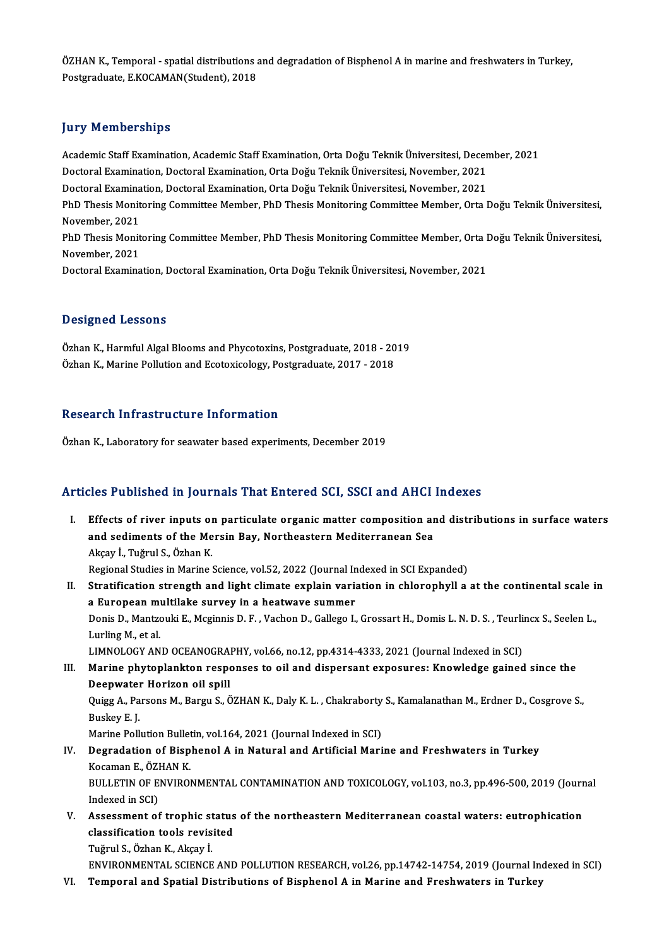ÖZHAN K., Temporal - spatial distributions and degradation of Bisphenol A in marine and freshwaters in Turkey,<br>Pestsreduate E KOCAMAN(Student), 2019 ÖZHAN K., Temporal - spatial distributions a<br>Postgraduate, E.KOCAMAN(Student), 2018 Postgraduate, E.KOCAMAN(Student), 2018<br>Jury Memberships

**Jury Memberships**<br>Academic Staff Examination, Academic Staff Examination, Orta Doğu Teknik Üniversitesi, December, 2021<br>Desterel Examination, Desterel Examination, Orta Doğu Teknik Üniversitesi, Nevember, 2021 Jury Tremberempe<br>Academic Staff Examination, Academic Staff Examination, Orta Doğu Teknik Üniversitesi, Decer<br>Doctoral Examination, Doctoral Examination, Orta Doğu Teknik Üniversitesi, November, 2021<br>Doctoral Examination, Academic Staff Examination, Academic Staff Examination, Orta Doğu Teknik Üniversitesi, Decer<br>Doctoral Examination, Doctoral Examination, Orta Doğu Teknik Üniversitesi, November, 2021<br>Doctoral Examination, Doctoral Examinat Doctoral Examination, Doctoral Examination, Orta Doğu Teknik Üniversitesi, November, 2021<br>Doctoral Examination, Doctoral Examination, Orta Doğu Teknik Üniversitesi, November, 2021<br>PhD Thesis Monitoring Committee Member, Ph Doctoral Examination, Doctoral Examination, Orta Doğu Teknik Üniversitesi, November, 2021 PhD Thesis Monitoring Committee Member, PhD Thesis Monitoring Committee Member, Orta Doğu Teknik Üniversitesi,<br>November, 2021<br>PhD Thesis Monitoring Committee Member, PhD Thesis Monitoring Committee Member, Orta Doğu Teknik November, 2021<br>PhD Thesis Monit<br>November, 2021<br>Doctoral Evemine PhD Thesis Monitoring Committee Member, PhD Thesis Monitoring Committee Member, Orta I<br>November, 2021<br>Doctoral Examination, Doctoral Examination, Orta Doğu Teknik Üniversitesi, November, 2021 Doctoral Examination, Doctoral Examination, Orta Doğu Teknik Üniversitesi, November, 2021<br>Designed Lessons

<mark>Designed Lessons</mark><br>Özhan K., Harmful Algal Blooms and Phycotoxins, Postgraduate, 2018 - 2019<br>Özhan K., Marine Pollution and Ecotoxicology, Postgraduate, 2017 - 2019 D'OSIGNOG 20000119<br>Özhan K., Harmful Algal Blooms and Phycotoxins, Postgraduate, 2018 - 20<br>Özhan K., Marine Pollution and Ecotoxicology, Postgraduate, 2017 - 2018 Özhan K., Marine Pollution and Ecotoxicology, Postgraduate, 2017 - 2018<br>Research Infrastructure Information

Özhan K., Laboratory for seawater based experiments, December 2019

## Articles Published in Journals That Entered SCI, SSCI and AHCI Indexes

The Published in Journals That Entered SCI, SSCI and AHCI Indexes<br>I. Effects of river inputs on particulate organic matter composition and distributions in surface waters<br>and sodiments of the Mergin Pay, Northeastern Medit Effects of river inputs on particulate organic matter composition and sediments of the Mersin Bay, Northeastern Mediterranean Sea Effects of river inputs of<br>and sediments of the Me<br>Akçay İ., Tuğrul S., Özhan K.<br>Begianal Studies in Marine i and sediments of the Mersin Bay, Northeastern Mediterranean Sea<br>Akçay İ., Tuğrul S., Özhan K.<br>Regional Studies in Marine Science, vol.52, 2022 (Journal Indexed in SCI Expanded)<br>Stratification strangth and light climate exp Akçay İ., Tuğrul S., Özhan K.<br>Regional Studies in Marine Science, vol.52, 2022 (Journal Indexed in SCI Expanded)<br>II. Stratification strength and light climate explain variation in chlorophyll a at the continental scale Regional Studies in Marine Science, vol.52, 2022 (Journal In<br>Stratification strength and light climate explain varia<br>a European multilake survey in a heatwave summer<br>Ponis D. Mantrouki E. Maginnis D. E. Vashan D. Callage L Stratification strength and light climate explain variation in chlorophyll a at the continental scale i<mark>i</mark><br>a European multilake survey in a heatwave summer<br>Donis D., Mantzouki E., Mcginnis D. F. , Vachon D., Gallego I., Gr a European multilake survey in a heatwave summer<br>Donis D., Mantzouki E., Mcginnis D. F. , Vachon D., Gallego I.,<br>Lurling M., et al. Donis D., Mantzouki E., Mcginnis D. F., Vachon D., Gallego I., Grossart H., Domis L. N. D. S., Teurlincx S., Seelen L., LIMNOLOGY AND OCEANOGRAPHY, vol.66, no.12, pp.4314-4333, 2021 (Journal Indexed in SCI)

# III. Marine phytoplankton responses to oil and dispersant exposures: Knowledge gained since the Deepwater Horizon oil spill Marine phytoplankton responses to oil and dispersant exposures: Knowledge gained since the<br>Deepwater Horizon oil spill<br>Quigg A., Parsons M., Bargu S., ÖZHAN K., Daly K. L. , Chakraborty S., Kamalanathan M., Erdner D., Cosg

Deepwater<br>Quigg A., Pa<br>Buskey E. J.<br>Marina Pall Quigg A., Parsons M., Bargu S., ÖZHAN K., Daly K. L. , Chakraborty<br>Buskey E. J.<br>Marine Pollution Bulletin, vol.164, 2021 (Journal Indexed in SCI)<br>Desredation of Bianhanal A in Natural and Artificial Mari

Marine Pollution Bulletin, vol.164, 2021 (Journal Indexed in SCI)

# Buskey E. J.<br>Marine Pollution Bulletin, vol.164, 2021 (Journal Indexed in SCI)<br>IV. Degradation of Bisphenol A in Natural and Artificial Marine and Freshwaters in Turkey<br>Kocaman E., ÖZHAN K. Degradation of Bisphenol A in Natural and Artificial Marine and Freshwaters in Turkey<br>Kocaman E., ÖZHAN K.<br>BULLETIN OF ENVIRONMENTAL CONTAMINATION AND TOXICOLOGY, vol.103, no.3, pp.496-500, 2019 (Journal<br>Indeved in SCL)

Kocaman E., ÖZI<br>BULLETIN OF E.<br>Indexed in SCI)<br>Assessment of BULLETIN OF ENVIRONMENTAL CONTAMINATION AND TOXICOLOGY, vol.103, no.3, pp.496-500, 2019 (Journ<br>Indexed in SCI)<br>V. Assessment of trophic status of the northeastern Mediterranean coastal waters: eutrophication<br>close:fisation

Indexed in SCI)<br>Assessment of trophic status<br>classification tools revisited<br>Tuğrul S. Özban K. Akçav İ Assessment of trophic st<br>classification tools revis<br>Tuğrul S., Özhan K., Akçay İ.<br>ENVIRONMENTAL SCIENCE

classification tools revisited<br>Tuğrul S., Özhan K., Akçay İ.<br>ENVIRONMENTAL SCIENCE AND POLLUTION RESEARCH, vol.26, pp.14742-14754, 2019 (Journal Indexed in SCI)<br>Temperal and Spatial Distributions of Bispbonal A in Marine a Tuğrul S., Özhan K., Akçay İ.<br>ENVIRONMENTAL SCIENCE AND POLLUTION RESEARCH, vol.26, pp.14742-14754, 2019 (Journal In<br>VI. Temporal and Spatial Distributions of Bisphenol A in Marine and Freshwaters in Turkey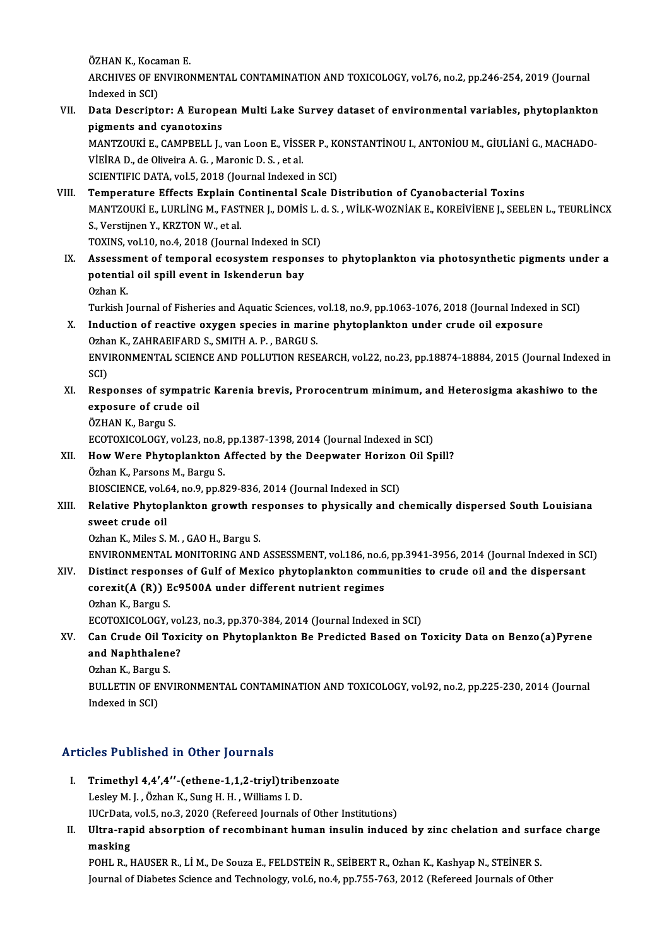ÖZHAN K., Kocaman E. ÖZHAN K., Kocaman E.<br>ARCHIVES OF ENVIRONMENTAL CONTAMINATION AND TOXICOLOGY, vol.76, no.2, pp.246-254, 2019 (Journal ÖZHAN K., Koca<br>ARCHIVES OF E.<br>Indexed in SCI)<br>Data Decerint ARCHIVES OF ENVIRONMENTAL CONTAMINATION AND TOXICOLOGY, vol.76, no.2, pp.246-254, 2019 (Journal<br>Indexed in SCI)<br>VII. Data Descriptor: A European Multi Lake Survey dataset of environmental variables, phytoplankton<br>nigments

# Indexed in SCI)<br>Data Descriptor: A Europe<br>pigments and cyanotoxins<br>MANTZOUKI E CAMPPELL L Data Descriptor: A European Multi Lake Survey dataset of environmental variables, phytoplankton<br>pigments and cyanotoxins<br>MANTZOUKİ E., CAMPBELL J., van Loon E., VİSSER P., KONSTANTİNOU I., ANTONİOU M., GİULİANİ G., MACHADO

pigments and cyanotoxins<br>MANTZOUKİ E., CAMPBELL J., van Loon E., VİSSER P., K<br>VİEİRA D., de Oliveira A. G. , Maronic D. S. , et al.<br>SCIENTIFIC DATA, vol.5, 2018 (Journal Indexed in SCI) MANTZOUKI E., CAMPBELL J., van Loon E., VISSER P., KONSTANTINOU I., ANTONIOU M., GIULIANI G., MACHADO-VIEIRA D., de Oliveira A. G. , Maronic D. S. , et al.<br>SCIENTIFIC DATA, vol.5, 2018 (Journal Indexed in SCI)<br>VIII. Temperature Effects Explain Continental Scale Distribution of Cyanobacterial Toxins<br>MANTZQUELE LUBLING M

## SCIENTIFIC DATA, vol.5, 2018 (Journal Indexed in SCI)<br>Temperature Effects Explain Continental Scale Distribution of Cyanobacterial Toxins<br>MANTZOUKİ E., LURLİNG M., FASTNER J., DOMİS L. d. S. , WİLK-WOZNİAK E., KOREİVİENE J Temperature Effects Explain C<br>MANTZOUKİ E., LURLİNG M., FAST<br>S., Verstijnen Y., KRZTON W., et al.<br>TOVINS. vol 10. no. 4. 2018 (Journe MANTZOUKİ E., LURLİNG M., FASTNER J., DOMİS L. d.<br>S., Verstijnen Y., KRZTON W., et al.<br>TOXINS, vol.10, no.4, 2018 (Journal Indexed in SCI)<br>Assessment of temperal esesustem responses S., Verstijnen Y., KRZTON W., et al.<br>TOXINS, vol.10, no.4, 2018 (Journal Indexed in SCI)<br>IX. Assessment of temporal ecosystem responses to phytoplankton via photosynthetic pigments under a

TOXINS, vol.10, no.4, 2018 (Journal Indexed in S<br>Assessment of temporal ecosystem respon<br>potential oil spill event in Iskenderun bay<br>Orban K Assessm<br>potentia<br>Ozhan K.<br>Turkish I

Ozhan K.<br>Turkish Journal of Fisheries and Aquatic Sciences, vol.18, no.9, pp.1063-1076, 2018 (Journal Indexed in SCI)

## Ozhan K.<br>Turkish Journal of Fisheries and Aquatic Sciences, vol.18, no.9, pp.1063-1076, 2018 (Journal Indexed<br>X. Induction of reactive oxygen species in marine phytoplankton under crude oil exposure<br>Orban K. ZAHRAEIEARD S. Turkish Journal of Fisheries and Aquatic Sciences,<br>Induction of reactive oxygen species in marii<br>Ozhan K., ZAHRAEIFARD S., SMITH A. P. , BARGU S.<br>ENWRONMENTAL SCIENCE AND POLLUTION BESE ENVIRONMENTAL SCIENCE AND POLLUTION RESEARCH, vol.22, no.23, pp.18874-18884, 2015 (Journal Indexed in SCI) Ozhan K., ZAHRAEIFARD S., SMITH A. P., BARGU S.

# ENVIRONMENTAL SCIENCE AND POLLUTION RESEARCH, vol.22, no.23, pp.18874-18884, 2015 (Journal Indexed<br>SCI)<br>XI. Responses of sympatric Karenia brevis, Prorocentrum minimum, and Heterosigma akashiwo to the<br>avnosure of sympatric SCI)<br>Responses of sympatr<br>exposure of crude oil<br>ÖZHAN K. Bargu S Responses of syn<br>exposure of crud<br>ÖZHAN K., Bargu S.<br>ECOTOVICOLOCY ... exposure of crude oil<br>ÖZHAN K., Bargu S.<br>ECOTOXICOLOGY, vol.23, no.8, pp.1387-1398, 2014 (Journal Indexed in SCI)<br>How Were Phytonlankten Affected by the Deenwater Herizen Oil Sr

# ÖZHAN K., Bargu S.<br>ECOTOXICOLOGY, vol.23, no.8, pp.1387-1398, 2014 (Journal Indexed in SCI)<br>XII. How Were Phytoplankton Affected by the Deepwater Horizon Oil Spill?<br>Örban K. Barsons M. Bargu S. ECOTOXICOLOGY, vol.23, no.8,<br>How Were Phytoplankton<br>Özhan K., Parsons M., Bargu S.<br>PIOSCIENCE vol.64, no.9, nn.8. How Were Phytoplankton Affected by the Deepwater Horizon<br>Özhan K., Parsons M., Bargu S.<br>BIOSCIENCE, vol.64, no.9, pp.829-836, 2014 (Journal Indexed in SCI)<br>Pelative Phytoplankton growth responses to physiselly and g

BIOSCIENCE, vol.64, no.9, pp.829-836, 2014 (Journal Indexed in SCI)

# Özhan K., Parsons M., Bargu S.<br>BIOSCIENCE, vol.64, no.9, pp.829-836, 2014 (Journal Indexed in SCI)<br>XIII. Relative Phytoplankton growth responses to physically and chemically dispersed South Louisiana<br>sweet crude oil

Ozhan K., Miles S. M., GAO H., Bargu S.

ENVIRONMENTAL MONITORING AND ASSESSMENT, vol.186, no.6, pp.3941-3956, 2014 (Journal Indexed in SCI)

## Ozhan K., Miles S. M. , GAO H., Bargu S.<br>ENVIRONMENTAL MONITORING AND ASSESSMENT, vol.186, no.6, pp.3941-3956, 2014 (Journal Indexed in SONITORING AND ASSESSMENT, vol.186, no.6, pp.3941-3956, 2014 (Journal Indexed in SONIT ENVIRONMENTAL MONITORING AND ASSESSMENT, vol.186, no.6<br>Distinct responses of Gulf of Mexico phytoplankton comm<br>corexit(A (R)) Ec9500A under different nutrient regimes<br>Orban K. Bargu S Distinct respons<br>corexit(A (R)) E<br>Ozhan K., Bargu S.<br>ECOTOVICOLOCY corexit(A (R)) Ec9500A under different nutrient regimes<br>Ozhan K., Bargu S.<br>ECOTOXICOLOGY, vol.23, no.3, pp.370-384, 2014 (Journal Indexed in SCI)

# XV. Can Crude Oil Toxicity on Phytoplankton Be Predicted Based on Toxicity Data on Benzo(a)Pyrene ECOTOXICOLOGY, vol<br>Can Crude Oil Toxi<br>and Naphthalene?<br>Orban K. Bargu S. **Can Crude Oil To<br>and Naphthalen<br>Ozhan K., Bargu S.<br>PULLETIN OF FNV**

BULLETIN OF ENVIRONMENTAL CONTAMINATION AND TOXICOLOGY, vol.92, no.2, pp.225-230, 2014 (Journal Indexed in SCI) Ozhan K., Bargu S.

## Articles Published in Other Journals

- Tricles Published in Other Journals<br>I. Trimethyl 4,4',4''-(ethene-1,1,2-triyl)tribenzoate<br>Lecky M. L. Örban K. Sung H. H. Williams L. D. Trimethyl 4,4',4''-(ethene-1,1,2-triyl)tribe<br>Lesley M. J. , Özhan K., Sung H. H. , Williams I. D.<br>ULGERAta val 5, no.2, 2020 (Refereed Journals i. Trimethyl 4,4',4''-(ethene-1,1,2-triyl)tribenzoate<br>Lesley M. J. , Özhan K., Sung H. H. , Williams I. D.<br>IUCrData, vol.5, no.3, 2020 (Refereed Journals of Other Institutions)<br>IIItre, renid ebsenntion of recombinant buman in
- Lesley M. J. , Özhan K., Sung H. H. , Williams I. D.<br>IUCrData, vol.5, no.3, 2020 (Refereed Journals of Other Institutions)<br>II. Ultra-rapid absorption of recombinant human insulin induced by zinc chelation and surface charg IUCrData,<br><mark>Ultra-rap</mark><br>masking<br>POHL B Ultra-rapid absorption of recombinant human insulin induced by zinc chelation and surf<br>masking<br>POHL R., HAUSER R., LİM., De Souza E., FELDSTEİN R., SEİBERT R., Ozhan K., Kashyap N., STEİNER S.<br>Journal of Diabates Science a

masking<br>POHL R., HAUSER R., Lİ M., De Souza E., FELDSTEİN R., SEİBERT R., Ozhan K., Kashyap N., STEİNER S.<br>Journal of Diabetes Science and Technology, vol.6, no.4, pp.755-763, 2012 (Refereed Journals of Other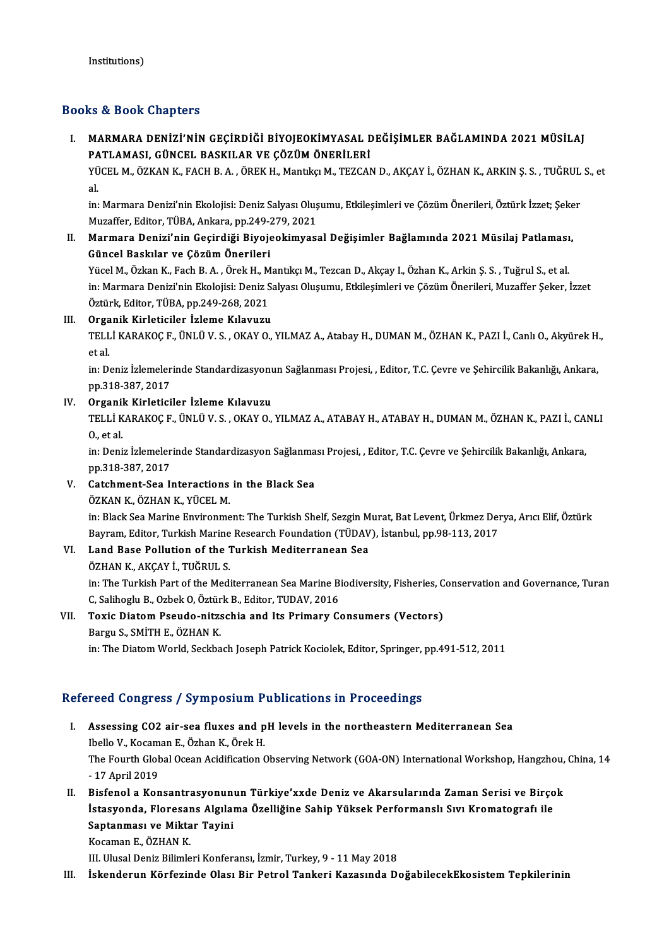## Books&Book Chapters

OOks & Book Chapters<br>I. – MARMARA DENİZİ'NİN GEÇİRDİĞİ BİYOJEOKİMYASAL DEĞİŞİMLER BAĞLAMINDA 2021 MÜSİLAJ<br>- PATLAMASL GÜNCEL BAŞKU AR VE GÖZÜM ÖNERLI ERL 15 & SSSR SHAPTSIS<br>MARMARA DENİZİ'NİN GEÇİRDİĞİ BİYOJEOKİMYASAL E<br>PATLAMASI, GÜNCEL BASKILAR VE ÇÖZÜM ÖNERİLERİ<br>VÜCEL M. ÖZKAN K. EACH B.A., ÖREK H. MandkelM. TEZCAN MARMARA DENİZI'NIN GEÇİRDİĞI BIYOJEOKIMYASAL DEĞIŞIMLER BAĞLAMINDA 2021 MÜSİLAJ<br>PATLAMASI, GÜNCEL BASKILAR VE ÇÖZÜM ÖNERİLERİ<br>YÜCEL M., ÖZKAN K., FACH B. A. , ÖREK H., Mantıkçı M., TEZCAN D., AKÇAY İ., ÖZHAN K., ARKIN Ş. S

PA<br>YÜ<br>al. YÜCEL M., ÖZKAN K., FACH B. A. , ÖREK H., Mantıkçı M., TEZCAN D., AKÇAY İ., ÖZHAN K., ARKIN Ş. S. , TUĞRUL S., et<br>al.<br>in: Marmara Denizi'nin Ekolojisi: Deniz Salyası Oluşumu, Etkileşimleri ve Cözüm Önerileri, Öztürk İzzet;

Muzaffer, Editor, TÜBA, Ankara, pp.249-279, 2021 in: Marmara Denizi'nin Ekolojisi: Deniz Salyası Oluşumu, Etkileşimleri ve Çözüm Önerileri, Öztürk İzzet; Şeke<br>Muzaffer, Editor, TÜBA, Ankara, pp.249-279, 2021<br>II. Marmara Denizi'nin Geçirdiği Biyojeokimyasal Değişimler Bağ

Muzaffer, Editor, TÜBA, Ankara, pp.249-<mark>;</mark><br>Marmara Denizi'nin Geçirdiği Biyoje<br>Güncel Baskılar ve Çözüm Önerileri<br><sup>Vüqal M. Örkan K. Fash B. A. Önek H. M</sup> Marmara Denizi'nin Geçirdiği Biyojeokimyasal Değişimler Bağlamında 2021 Müsilaj Patlaması<br>Güncel Baskılar ve Çözüm Önerileri<br>Yücel M., Özkan K., Fach B. A. , Örek H., Mantıkçı M., Tezcan D., Akçay I., Özhan K., Arkin Ş. S.

Güncel Baskılar ve Çözüm Önerileri<br>Yücel M., Özkan K., Fach B. A. , Örek H., Mantıkçı M., Tezcan D., Akçay I., Özhan K., Arkin Ş. S. , Tuğrul S., et al.<br>in: Marmara Denizi'nin Ekolojisi: Deniz Salyası Oluşumu, Etkileşimler Yücel M., Özkan K., Fach B. A., Örek H., Mantikçi M., Tezcan D., Akçay I., Özhan K., Arkin Ş. S., Tuğrul S., et al.

### III. Organik Kirleticiler İzleme Kılavuzu

Öztürk, Editor, TÜBA, pp.249-268, 2021<br>Organik Kirleticiler İzleme Kılavuzu<br>TELLİ KARAKOÇ F., ÜNLÜ V. S. , OKAY O., YILMAZ A., Atabay H., DUMAN M., ÖZHAN K., PAZI İ., Canlı O., Akyürek H Orga<br>TELL<br>et al.<br>in: D TELLİ KARAKOÇ F., ÜNLÜ V. S. , OKAY O., YILMAZ A., Atabay H., DUMAN M., ÖZHAN K., PAZI İ., Canlı O., Akyürek H<br>et al.<br>in: Deniz İzlemelerinde Standardizasyonun Sağlanması Projesi, , Editor, T.C. Çevre ve Şehircilik Bakanlı

et al.<br>in: Deniz İzlemeler<br>pp.318-387, 2017<br>Organik Kirletisi IV. Deniz İzlemelerinde Standardizasyonu<br>
pp.318-387, 2017<br>
IV. Organik Kirleticiler İzleme Kılavuzu<br>
TELLİ KARAKOC E ÜNLÜ V. S. OKAV O

pp.318-387, 2017<br>Organik Kirleticiler İzleme Kılavuzu<br>TELLİ KARAKOÇ F., ÜNLÜ V. S. , OKAY O., YILMAZ A., ATABAY H., ATABAY H., DUMAN M., ÖZHAN K., PAZI İ., CANLI Organil<br>TELLİ K<br>0., et al.<br>in: Deni TELLİ KARAKOÇ F., ÜNLÜ V. S. , OKAY O., YILMAZ A., ATABAY H., ATABAY H., DUMAN M., ÖZHAN K., PAZI İ., CA.<br>O., et al.<br>in: Deniz İzlemelerinde Standardizasyon Sağlanması Projesi, , Editor, T.C. Çevre ve Şehircilik Bakanlığı,

0., et al.<br>in: Deniz İzlemelerinde Standardizasyon Sağlanması Projesi, , Editor, T.C. Çevre ve Şehircilik Bakanlığı, Ankara,<br>pp.318-387, 2017 in: Deniz İzlemelerinde Standardizasyon Sağlanma<br>pp.318-387, 2017<br>V. Catchment-Sea Interactions in the Black Sea<br>ÖZVAN K. ÖZHAN K. VÜCEL M pp.318-387, 2017<br>Catchment-Sea Interactions<br>ÖZKAN K., ÖZHAN K., YÜCEL M.<br>in: Plack Sea Marine Envirenme

ÖZKAN K., ÖZHAN K., YÜCEL M.<br>in: Black Sea Marine Environment: The Turkish Shelf, Sezgin Murat, Bat Levent, Ürkmez Derya, Arıcı Elif, Öztürk ÖZKAN K., ÖZHAN K., YÜCEL M.<br>in: Black Sea Marine Environment: The Turkish Shelf, Sezgin Murat, Bat Levent, Ürkmez Der<br>Bayram, Editor, Turkish Marine Research Foundation (TÜDAV), İstanbul, pp.98-113, 2017<br>Land Base Bolluti Bayram, Editor, Turkish Marine<br>Land Base Pollution of the 1<br>ÖZHAN K., AKÇAY İ., TUĞRUL S.<br>in: The Turkish Part of the Medi

# VI. Land Base Pollution of the Turkish Mediterranean Sea<br>ÖZHAN K., AKCAY İ., TUĞRUL S.

La<mark>nd Base Pollution of the Turkish Mediterranean Sea</mark><br>ÖZHAN K., AKÇAY İ., TUĞRUL S.<br>in: The Turkish Part of the Mediterranean Sea Marine Biodiversity, Fisheries, Conservation and Governance, Turan<br>C. Salibaglu B. Orbak Q. ÖZHAN K., AKÇAY İ., TUĞRUL S.<br>in: The Turkish Part of the Mediterranean Sea Marine B.<br>C, Salihoglu B., Ozbek O, Öztürk B., Editor, TUDAV, 2016<br>Tovis Distom Beaude, nitrashis and Ita Brimary G. in: The Turkish Part of the Mediterranean Sea Marine Biodiversity, Fisheries, C<br>C, Salihoglu B., Ozbek O, Öztürk B., Editor, TUDAV, 2016<br>VII. Toxic Diatom Pseudo-nitzschia and Its Primary Consumers (Vectors)<br>Pergu S, SMİTU

# C, Salihoglu B., Ozbek O, Öztür<br>Toxic Diatom Pseudo-nitz:<br>Bargu S., SMİTH E., ÖZHAN K.<br>in: The Diatom World, Sockha

Bargu S., SMİTH E., ÖZHAN K.<br>in: The Diatom World, Seckbach Joseph Patrick Kociolek, Editor, Springer, pp.491-512, 2011

## Refereed Congress / Symposium Publications in Proceedings

- efereed Congress / Symposium Publications in Proceedings<br>I. Assessing CO2 air-sea fluxes and pH levels in the northeastern Mediterranean Sea<br>Thelle V. Keseman E. Özban K. Özek u Ibelo V., Kocaman E., Özhan K., Örek H.<br>Ibello V., Kocaman E., Özhan K., Örek H.<br>The Fourth Clebel Ossen Asidifisation ( The Fourth Global Ocean Acidification Observing Network (GOA-ON) International Workshop, Hangzhou, China, 14<br>- 17 April 2019 Ibello V., Kocaman E., Özhan K., Örek H. I . Bisfenol a Konsantrasyonunun Türkiye'xxde Deniz ve Akarsularında Zaman Serisi ve Birçok<br>II. Bisfenol a Konsantrasyonunun Türkiye'xxde Deniz ve Akarsularında Zaman Serisi ve Birçok<br>Istasyonda Elenesana Akulama Özelliğin
- 17 April 2019<br>Bisfenol a Konsantrasyonunun Türkiye'xxde Deniz ve Akarsularında Zaman Serisi ve Birço<br>İstasyonda, Floresans Algılama Özelliğine Sahip Yüksek Performanslı Sıvı Kromatografı ile<br>Santanması ve Mikter Tevini Bisfenol a Konsantrasyonun<br>İstasyonda, Floresans Algılaı<br>Saptanması ve Miktar Tayini<br><sup>Voqaman E. Ö7HAN V</sup> İstasyonda, Floresans Algılama Özelliğine Sahip Yüksek Performanslı Sıvı Kromatografı ile<br>Saptanması ve Miktar Tayini<br>Kocaman E., ÖZHAN K.

III. Ulusal Deniz Bilimleri Konferansı, İzmir, Turkey, 9 - 11 May 2018

III. İskenderun Körfezinde Olası Bir Petrol Tankeri Kazasında DoğabilecekEkosistem Tepkilerinin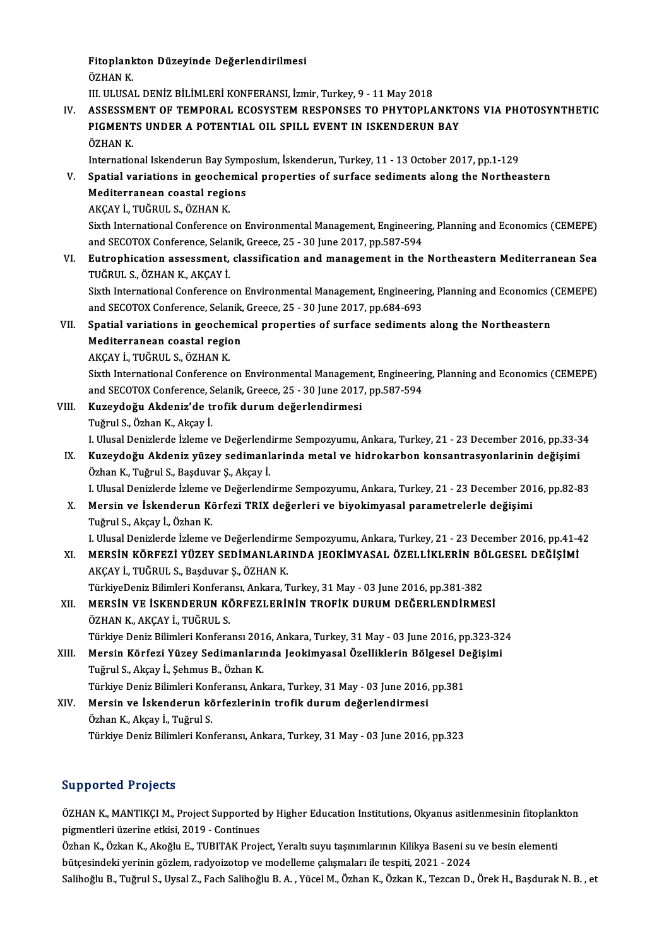Fitoplankton Düzeyinde Değerlendirilmesi<br>ÖZHAN K Fitoplank<br>ÖZHAN K.<br>III. III.IISA

ÖZHAN K.<br>III. ULUSAL DENİZ BİLİMLERİ KONFERANSI, İzmir, Turkey, 9 - 11 May 2018

ÖZHAN K.<br>III. ULUSAL DENİZ BİLİMLERİ KONFERANSI, İzmir, Turkey, 9 - 11 May 2018<br>IV. ASSESSMENT OF TEMPORAL ECOSYSTEM RESPONSES TO PHYTOPLANKTONS VIA PHOTOSYNTHETIC<br>PICMENTS UNDER A POTENTIAL OU SPULL EVENT IN ISKENDERIJN P III. ULUSAL DENİZ BİLİMLERİ KONFERANSI, İzmir, Turkey, 9 - 11 May 2018<br>ASSESSMENT OF TEMPORAL ECOSYSTEM RESPONSES TO PHYTOPLANKTO<br>PIGMENTS UNDER A POTENTIAL OIL SPILL EVENT IN ISKENDERUN BAY<br>ÖZHAN K ASSESSM<br>PIGMENT<br>ÖZHAN K.<br>Internatio PIGMENTS UNDER A POTENTIAL OIL SPILL EVENT IN ISKENDERUN BAY<br>ÖZHAN K.<br>International Iskenderun Bay Symposium, İskenderun, Turkey, 11 - 13 October 2017, pp.1-129<br>Spatial variations in geosphamisel proporties of surfase sedi

- ÖZHAN K.<br>International Iskenderun Bay Symposium, İskenderun, Turkey, 11 13 October 2017, pp.1-129<br>V. Spatial variations in geochemical properties of surface sediments along the Northeastern<br>Mediterranean coastal regi International Iskenderun Bay Symp<br>Spatial variations in geochemic<br>Mediterranean coastal regions<br>AKCAV I, TUČPULS, ÖZHAN K Spatial variations in geoche<br>Mediterranean coastal regio<br>AKÇAY İ., TUĞRUL S., ÖZHAN K.<br>Siyth International Conference
	-

Mediterranean coastal regions<br>AKÇAY İ., TUĞRUL S., ÖZHAN K.<br>Sixth International Conference on Environmental Management, Engineering, Planning and Economics (CEMEPE)<br>and SECOTOV Conference Selanik Creese 25, 29 June 2017, p AKÇAY İ., TUĞRUL S., ÖZHAN K.<br>Sixth International Conference on Environmental Management, Engineerin<br>and SECOTOX Conference, Selanik, Greece, 25 - 30 June 2017, pp.587-594<br>Eutrephisation assessment, classifisation and mana Sixth International Conference on Environmental Management, Engineering, Planning and Economics (CEMEPE)<br>and SECOTOX Conference, Selanik, Greece, 25 - 30 June 2017, pp.587-594<br>VI. Eutrophication assessment, classification

and SECOTOX Conference, Selar<br><mark>Eutrophication assessment,</mark><br>TUĞRUL S., ÖZHAN K., AKÇAY İ.<br>Siyth International Conference Eutrophication assessment, classification and management in the Northeastern Mediterranean Sea<br>TUĞRUL S., ÖZHAN K., AKÇAY İ.<br>Sixth International Conference on Environmental Management, Engineering, Planning and Economics ( TUĞRUL S., ÖZHAN K., AKÇAY İ.<br>Sixth International Conference on Environmental Management, Engineering, Planning and Economics (CEMEPE)

Sixth International Conference on Environmental Management, Engineering, Planning and Economics (<br>and SECOTOX Conference, Selanik, Greece, 25 - 30 June 2017, pp.684-693<br>VII. Spatial variations in geochemical properties of

and SECOTOX Conference, Selanik, Greece, 25 - 30 June 2017, pp.684-693<br>Spatial variations in geochemical properties of surface sediment:<br>Mediterranean coastal region<br>AKCAY İ., TUĞRUL S., ÖZHAN K. Spatial variations in geoche<br>Mediterranean coastal regio<br>AKÇAY İ., TUĞRUL S., ÖZHAN K.<br>Siyth International Conference

Mediterranean coastal region<br>AKÇAY İ., TUĞRUL S., ÖZHAN K.<br>Sixth International Conference on Environmental Management, Engineering, Planning and Economics (CEMEPE)<br>and SECOTOV Conference, Selanik Creese, 25,, 20 June 2017, AKÇAY İ., TUĞRUL S., ÖZHAN K.<br>Sixth International Conference on Environmental Management, Engineerin<br>and SECOTOX Conference, Selanik, Greece, 25 - 30 June 2017, pp.587-594<br>Kurovdoğu, Akdonir'de trafik durum doğarlandirmesi Sixth International Conference on Environmental Manageme<br>and SECOTOX Conference, Selanik, Greece, 25 - 30 June 2017<br>VIII. Kuzeydoğu Akdeniz'de trofik durum değerlendirmesi<br>Tuğmul S. Özban K. Aksayı

- and SECOTOX Conference, Selanik, Greece, 25 30 June 2017, pp.587-594<br>Kuzeydoğu Akdeniz'de trofik durum değerlendirmesi<br>Tuğrul S., Özhan K., Akçay İ. Kuzeydoğu Akdeniz'de trofik durum değerlendirmesi<br>Tuğrul S., Özhan K., Akçay İ.<br>I. Ulusal Denizlerde İzleme ve Değerlendirme Sempozyumu, Ankara, Turkey, 21 - 23 December 2016, pp.33-34<br>Kuzeydoğu, Akdeniz vüzey sedimanların
- IX. Kuzeydoğu Akdeniz yüzey sedimanlarinda metal ve hidrokarbon konsantrasyonlarinin değişimi<br>Özhan K., Tuğrul S., Başduvar Ş., Akçay İ. I. Ulusal Denizlerde İzleme ve Değerlend<br><mark>Kuzeydoğu Akdeniz yüzey sedimanl</mark><br>Özhan K., Tuğrul S., Başduvar Ş., Akçay İ.<br>L. Ulusal Denizlerde İrleme ve Değerlend

I.UlusalDenizlerde İzleme veDeğerlendirme Sempozyumu,Ankara,Turkey,21 -23December 2016,pp.82-83

X. Mersin ve İskenderun Körfezi TRIX değerleri ve biyokimyasal parametrelerle değişimi TuğrulS.,Akçay İ.,ÖzhanK.

I.UlusalDenizlerde İzleme veDeğerlendirme Sempozyumu,Ankara,Turkey,21 -23December 2016,pp.41-42 Tuğrul S., Akçay İ., Özhan K.<br>1. Ulusal Denizlerde İzleme ve Değerlendirme Sempozyumu, Ankara, Turkey, 21 - 23 December 2016, pp.41-4<br>2XI. MERSİN KÖRFEZİ YÜZEY SEDİMANLARINDA JEOKİMYASAL ÖZELLİKLERİN BÖLGESEL DEĞİŞİMİ

I. Ulusal Denizlerde İzleme ve Değerlendirme<br>MERSİN KÖRFEZİ YÜZEY SEDİMANLARI<br>AKÇAY İ., TUĞRUL S., Başduvar Ş., ÖZHAN K.<br>TürkiyeDeniz Bilimleri Konferensu Ankara T MERSİN KÖRFEZİ YÜZEY SEDİMANLARINDA JEOKİMYASAL ÖZELLİKLERİN BÖ<br>AKÇAY İ., TUĞRUL S., Başduvar Ş., ÖZHAN K.<br>TürkiyeDeniz Bilimleri Konferansı, Ankara, Turkey, 31 May - 03 June 2016, pp.381-382<br>MERSİN VE İSKENDERIJN KÖREEZI XI . MERSİN VE İSKENDERUN KÖRFEZLERİNİN TROFİK DURUMDEĞERLENDİRMESİ

# TürkiyeDeniz Bilimleri Konferansı, Ankara, Turkey, 31 May - 03 June 2016, pp.381-382<br>MERSİN VE İSKENDERUN KÖRFEZLERİNİN TROFİK DURUM DEĞERLENDİRMESİ<br>ÖZHAN K., AKÇAY İ., TUĞRUL S.<br>Türkiye Deniz Bilimleri Konferansı 2016, An MERSİN VE İSKENDERUN KÖRFEZLERİNİN TROFİK DURUM DEĞERLENDİRMESİ<br>ÖZHAN K., AKÇAY İ., TUĞRUL S.<br>Türkiye Deniz Bilimleri Konferansı 2016, Ankara, Turkey, 31 May - 03 June 2016, pp.323-324<br>Marsin Körferi Yüzey Sedimanlarında J

ÖZHAN K., AKÇAY İ., TUĞRUL S.<br>Türkiye Deniz Bilimleri Konferansı 2016, Ankara, Turkey, 31 May - 03 June 2016, pp.323-32<br>XIII. Mersin Körfezi Yüzey Sedimanlarında Jeokimyasal Özelliklerin Bölgesel Değişimi Tuğrul S., Akçay İ., Şehmus B., Özhan K. Mersin Körfezi Yüzey Sedimanlarında Jeokimyasal Özelliklerin Bölgesel De<br>Tuğrul S., Akçay İ., Şehmus B., Özhan K.<br>Türkiye Deniz Bilimleri Konferansı, Ankara, Turkey, 31 May - 03 June 2016, pp.381<br>Marsin ve İskandarun körfe

Türkiye Deniz Bilimleri Konferansı, Ankara, Turkey, 31 May - 03 June 2016, pp.381

XIV. Mersin ve İskenderun körfezlerinin trofik durumdeğerlendirmesi Türkiye Deniz Bilimleri Konferansı, Ankara, Turkey, 31 May - 03 June 2016, pp.323

## Supported Projects

Supported Projects<br>ÖZHAN K., MANTIKÇI M., Project Supported by Higher Education Institutions, Okyanus asitlenmesinin fitoplankton<br>Pismentleri üserine etkisi 2019., Continuse pigmentleri i 1950er<br>ÖZHAN K., MANTIKÇI M., Project Supported<br>Pigmentleri üzerine etkisi, 2019 - Continues<br>Özhan K., Özkan K., Akağlu E., TUBUTAK Proje ÖZHAN K., MANTIKÇI M., Project Supported by Higher Education Institutions, Okyanus asitlenmesinin fitoplanl<br>pigmentleri üzerine etkisi, 2019 - Continues<br>Özhan K., Özkan K., Akoğlu E., TUBITAK Project, Yeraltı suyu taşınıml

pigmentleri üzerine etkisi, 2019 - Continues<br>Özhan K., Özkan K., Akoğlu E., TUBITAK Project, Yeraltı suyu taşınımlarının Kilikya Baseni su<br>bütçesindeki yerinin gözlem, radyoizotop ve modelleme çalışmaları ile tespiti, 2021 bütçesindeki yerinin gözlem, radyoizotop ve modelleme çalışmaları ile tespiti, 2021 - 2024<br>Salihoğlu B., Tuğrul S., Uysal Z., Fach Salihoğlu B. A. , Yücel M., Özhan K., Özkan K., Tezcan D., Örek H., Başdurak N. B. , et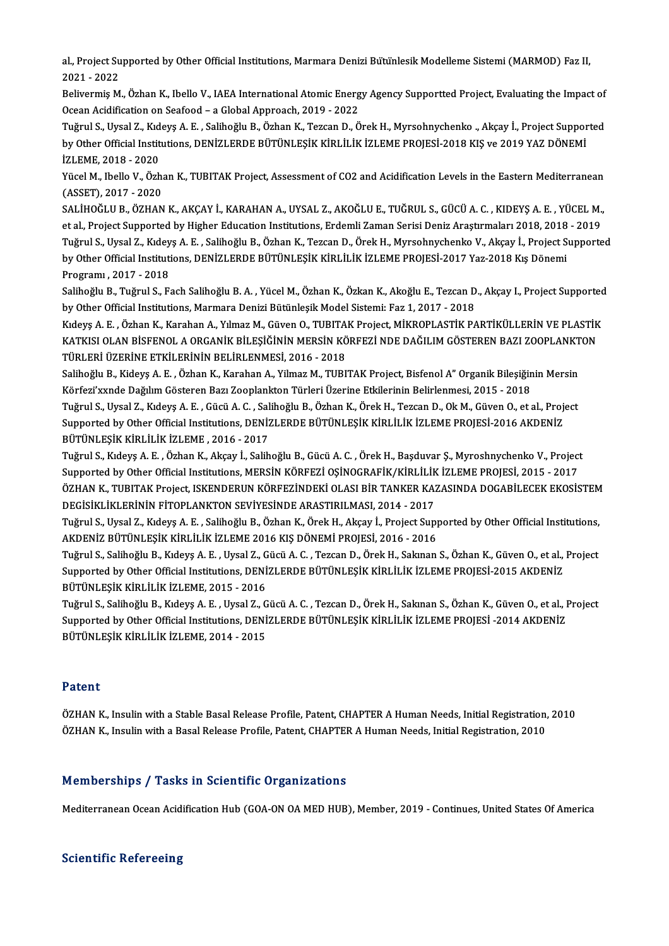al., Project Supported by Other Official Institutions, Marmara Denizi Bütünlesik Modelleme Sistemi (MARMOD) Faz II,<br>2021 - 2022 al., Project Su<br>2021 - 2022<br>Polivormic M al., Project Supported by Other Official Institutions, Marmara Denizi Bütünlesik Modelleme Sistemi (MARMOD) Faz II,<br>2021 - 2022<br>Belivermiş M., Özhan K., Ibello V., IAEA International Atomic Energy Agency Supportted Project

2021 - 2022<br>Belivermiş M., Özhan K., Ibello V., IAEA International Atomic Energy Agency Supportted Project, Evaluating the Impact of<br>Ocean Acidification on Seafood – a Global Approach, 2019 - 2022

Tuğrul S., Uysal Z., Kıdeyş A. E., Salihoğlu B., Özhan K., Tezcan D., Örek H., Myrsohnychenko ., Akçay İ., Project Supported Ocean Acidification on Seafood – a Global Approach, 2019 - 2022<br>Tuğrul S., Uysal Z., Kıdeyş A. E. , Salihoğlu B., Özhan K., Tezcan D., Örek H., Myrsohnychenko ., Akçay İ., Project Suppor<br>by Other Official Institutions, DEN Tuğrul S., Uysal Z., Kıd<br>by Other Official Instit<br>İZLEME, 2018 - 2020<br><sup>Vücel M.</sup> İbelle V., Özb by Other Official Institutions, DENİZLERDE BÜTÜNLEŞİK KİRLİLİK İZLEME PROJESİ-2018 KIŞ ve 2019 YAZ DÖNEMİ<br>İZLEME, 2018 - 2020<br>Yücel M., Ibello V., Özhan K., TUBITAK Project, Assessment of CO2 and Acidification Levels in th

İZLEME, 2018 - 2020<br>Yücel M., Ibello V., Özhan K., TUBITAK Project, Assessment of CO2 and Acidification Levels in the Eastern Mediterranean<br>(ASSET), 2017 - 2020 Yücel M., Ibello V., Özhan K., TUBITAK Project, Assessment of CO2 and Acidification Levels in the Eastern Mediterranean<br>(ASSET), 2017 - 2020<br>SALİHOĞLU B., ÖZHAN K., AKÇAY İ., KARAHAN A., UYSAL Z., AKOĞLU E., TUĞRUL S., GÜC

(ASSET), 2017 - 2020<br>SALİHOĞLU B., ÖZHAN K., AKÇAY İ., KARAHAN A., UYSAL Z., AKOĞLU E., TUĞRUL S., GÜCÜ A. C. , KIDEYŞ A. E. , YÜCEL M.,<br>et al., Project Supported by Higher Education Institutions, Erdemli Zaman Serisi Deni SALİHOĞLU B., ÖZHAN K., AKÇAY İ., KARAHAN A., UYSAL Z., AKOĞLU E., TUĞRUL S., GÜCÜ A. C. , KIDEYŞ A. E. , YÜCEL M.,<br>et al., Project Supported by Higher Education Institutions, Erdemli Zaman Serisi Deniz Araştırmaları 2018, et al., Project Supported by Higher Education Institutions, Erdemli Zaman Serisi Deniz Araştırmaları 2018, 2018 - 2019<br>Tuğrul S., Uysal Z., Kıdeyş A. E. , Salihoğlu B., Özhan K., Tezcan D., Örek H., Myrsohnychenko V., Akça Programı ,2017 -2018 by Other Official Institutions, DENİZLERDE BÜTÜNLEŞİK KİRLİLİK İZLEME PROJESİ-2017 Yaz-2018 Kış Dönemi<br>Programı , 2017 - 2018<br>Salihoğlu B., Tuğrul S., Fach Salihoğlu B. A. , Yücel M., Özhan K., Özkan K., Akoğlu E., Tezcan

Programı , 2017 - 2018<br>Salihoğlu B., Tuğrul S., Fach Salihoğlu B. A. , Yücel M., Özhan K., Özkan K., Akoğlu E., Tezcan D<br>by Other Official Institutions, Marmara Denizi Bütünleşik Model Sistemi: Faz 1, 2017 - 2018<br>Kıdava A. Salihoğlu B., Tuğrul S., Fach Salihoğlu B. A. , Yücel M., Özhan K., Özkan K., Akoğlu E., Tezcan D., Akçay I., Project Supportec<br>by Other Official Institutions, Marmara Denizi Bütünleşik Model Sistemi: Faz 1, 2017 - 2018<br>Kı

by Other Official Institutions, Marmara Denizi Bütünleşik Model Sistemi: Faz 1, 2017 - 2018<br>Kıdeyş A. E. , Özhan K., Karahan A., Yılmaz M., Güven O., TUBITAK Project, MİKROPLASTİK PARTİKÜLLERİN VE PLASTİK<br>KATKISI OLAN BİSF Kıdeyş A. E. , Özhan K., Karahan A., Yılmaz M., Güven O., TUBITA<br>KATKISI OLAN BİSFENOL A ORGANİK BİLEŞİĞİNİN MERSİN KÖ<br>TÜRLERİ ÜZERİNE ETKİLERİNİN BELİRLENMESİ, 2016 - 2018<br>Salihağlu B. Kideya A. E., Örban K. Karahan A. Vi KATKISI OLAN BİSFENOL A ORGANİK BİLEŞİĞİNİN MERSİN KÖRFEZİ NDE DAĞILIM GÖSTEREN BAZI ZOOPLANKT<br>TÜRLERİ ÜZERİNE ETKİLERİNİN BELİRLENMESİ, 2016 - 2018<br>Salihoğlu B., Kideyş A. E. , Özhan K., Karahan A., Yilmaz M., TUBITAK Pro

TÜRLERİ ÜZERİNE ETKİLERİNİN BELİRLENMESİ, 2016 - 2018<br>Salihoğlu B., Kideyş A. E. , Özhan K., Karahan A., Yilmaz M., TUBITAK Project, Bisfenol A" Organik Bileşiğin<br>Körfezi'xxnde Dağılım Gösteren Bazı Zooplankton Türleri Üze Salihoğlu B., Kideyş A. E. , Özhan K., Karahan A., Yilmaz M., TUBITAK Project, Bisfenol A" Organik Bileşiğinin Mersin<br>Körfezi'xxnde Dağılım Gösteren Bazı Zooplankton Türleri Üzerine Etkilerinin Belirlenmesi, 2015 - 2018<br>Tu

Körfezi'xxnde Dağılım Gösteren Bazı Zooplankton Türleri Üzerine Etkilerinin Belirlenmesi, 2015 - 2018<br>Tuğrul S., Uysal Z., Kıdeyş A. E. , Gücü A. C. , Salihoğlu B., Özhan K., Örek H., Tezcan D., Ok M., Güven O., et al., Pr Tuğrul S., Uysal Z., Kıdeyş A. E. , Gücü A. C. , Sal<br>Supported by Other Official Institutions, DENİZ<br>BÜTÜNLEŞİK KİRLİLİK İZLEME , 2016 - 2017<br>Tuğrul S. Kıdeys A. E., Özban K. Aksey İ. Salib Supported by Other Official Institutions, DENİZLERDE BÜTÜNLEŞİK KİRLİLİK İZLEME PROJESİ-2016 AKDENİZ<br>BÜTÜNLEŞİK KİRLİLİK İZLEME , 2016 - 2017<br>Tuğrul S., Kıdeyş A. E. , Özhan K., Akçay İ., Salihoğlu B., Gücü A. C. , Örek H.

BÜTÜNLEŞİK KİRLİLİK İZLEME , 2016 - 2017<br>Tuğrul S., Kıdeyş A. E. , Özhan K., Akçay İ., Salihoğlu B., Gücü A. C. , Örek H., Başduvar Ş., Myroshnychenko V., Project<br>Supported by Other Official Institutions, MERSİN KÖRFEZİ OŞ Tuğrul S., Kıdeyş A. E. , Özhan K., Akçay İ., Salihoğlu B., Gücü A. C. , Örek H., Başduvar Ş., Myroshnychenko V., Project<br>Supported by Other Official Institutions, MERSİN KÖRFEZİ OŞİNOGRAFİK/KİRLİLİK İZLEME PROJESİ, 2015 -Supported by Other Official Institutions, MERSİN KÖRFEZİ OŞİNOGRAFİK/KİRLİLİK<br>ÖZHAN K., TUBITAK Project, ISKENDERUN KÖRFEZİNDEKİ OLASI BİR TANKER KA;<br>DEGİSİKLİKLERİNİN FİTOPLANKTON SEVİYESİNDE ARASTIRILMASI, 2014 - 2017<br>Tu ÖZHAN K., TUBITAK Project, ISKENDERUN KÖRFEZİNDEKİ OLASI BİR TANKER KAZASINDA DOGABİLECEK EKOSİSTEM<br>DEGİSİKLİKLERİNİN FİTOPLANKTON SEVİYESİNDE ARASTIRILMASI, 2014 - 2017<br>Tuğrul S., Uysal Z., Kıdeyş A. E. , Salihoğlu B., Öz

DEGİSİKLİKLERİNİN FİTOPLANKTON SEVİYESİNDE ARASTIRILMASI, 2014 - 2017<br>Tuğrul S., Uysal Z., Kıdeyş A. E. , Salihoğlu B., Özhan K., Örek H., Akçay İ., Project Sup<sub>l</sub><br>AKDENİZ BÜTÜNLEŞİK KİRLİLİK İZLEME 2016 KIŞ DÖNEMİ PROJESİ Tuğrul S., Uysal Z., Kıdeyş A. E. , Salihoğlu B., Özhan K., Örek H., Akçay İ., Project Supported by Other Official Institutions,<br>AKDENİZ BÜTÜNLEŞİK KİRLİLİK İZLEME 2016 KIŞ DÖNEMİ PROJESİ, 2016 - 2016<br>Tuğrul S., Salihoğlu

AKDENİZ BÜTÜNLEŞİK KİRLİLİK İZLEME 2016 KIŞ DÖNEMİ PROJESİ, 2016 - 2016<br>Tuğrul S., Salihoğlu B., Kıdeyş A. E. , Uysal Z., Gücü A. C. , Tezcan D., Örek H., Sakınan S., Özhan K., Güven O., et al.,<br>Supported by Other Official Tuğrul S., Salihoğlu B., Kıdeyş A. E. , Uysal Z., G<br>Supported by Other Official Institutions, DENI<br>BÜTÜNLEŞİK KİRLİLİK İZLEME, 2015 - 2016<br>Tuğmul S. Salihoğlu B. Kıdaya A. E., Uygal Z. G Supported by Other Official Institutions, DENİZLERDE BÜTÜNLEŞİK KİRLİLİK İZLEME PROJESİ-2015 AKDENİZ<br>BÜTÜNLEŞİK KİRLİLİK İZLEME, 2015 - 2016<br>Tuğrul S., Salihoğlu B., Kıdeyş A. E. , Uysal Z., Gücü A. C. , Tezcan D., Örek H.

BÜTÜNLEŞİK KİRLİLİK İZLEME, 2015 - 2016<br>Tuğrul S., Salihoğlu B., Kıdeyş A. E. , Uysal Z., Gücü A. C. , Tezcan D., Örek H., Sakınan S., Özhan K., Güven O., et al., I<br>Supported by Other Official Institutions, DENİZLERDE BÜTÜ Tuğrul S., Salihoğlu B., Kıdeyş A. E. , Uysal Z., G<br>Supported by Other Official Institutions, DENİ<br>BÜTÜNLEŞİK KİRLİLİK İZLEME, 2014 - 2015 BÜTÜNLEŞİK KİRLİLİK İZLEME, 2014 - 2015<br>Patent

Patent<br>ÖZHAN K., Insulin with a Stable Basal Release Profile, Patent, CHAPTER A Human Needs, Initial Registration, 2010<br>ÖZHAN K., Insulin with a Basal Belease Profile, Patent, CHAPTER A Human Needs, Initial Begistration, 2 r aconc<br>ÖZHAN K., Insulin with a Stable Basal Release Profile, Patent, CHAPTER A Human Needs, Initial Registration,<br>ÖZHAN K., Insulin with a Basal Release Profile, Patent, CHAPTER A Human Needs, Initial Registration, 2010 ÖZHAN K., Insulin with a Basal Release Profile, Patent, CHAPTER A Human Needs, Initial Registration, 2010<br>Memberships / Tasks in Scientific Organizations

Mediterranean Ocean Acidification Hub (GOA-ON OA MED HUB), Member, 2019 - Continues, United States Of America

## **Scientific Refereeing**